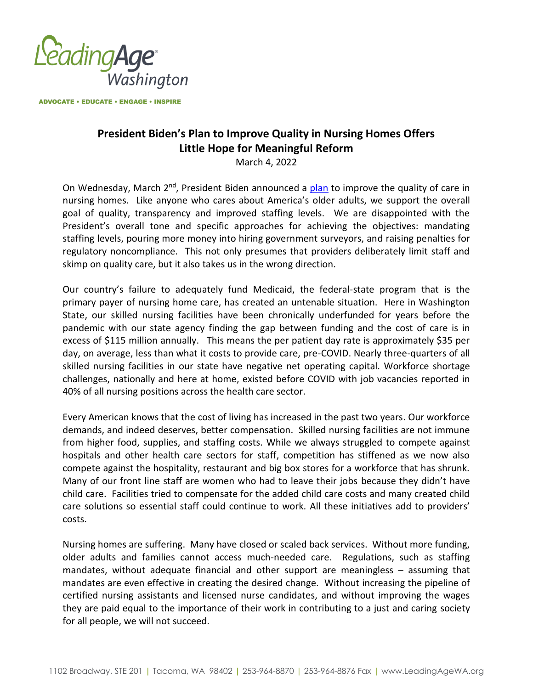

**ADVOCATE • EDUCATE • ENGAGE • INSPIRE** 

## **President Biden's Plan to Improve Quality in Nursing Homes Offers Little Hope for Meaningful Reform**

March 4, 2022

On Wednesday, March  $2^{nd}$ , President Biden announced a [plan](https://www.whitehouse.gov/briefing-room/statements-releases/2022/02/28/fact-sheet-protecting-seniors-and-people-with-disabilities-by-improving-safety-and-quality-of-care-in-the-nations-nursing-homes/) to improve the quality of care in nursing homes. Like anyone who cares about America's older adults, we support the overall goal of quality, transparency and improved staffing levels. We are disappointed with the President's overall tone and specific approaches for achieving the objectives: mandating staffing levels, pouring more money into hiring government surveyors, and raising penalties for regulatory noncompliance. This not only presumes that providers deliberately limit staff and skimp on quality care, but it also takes us in the wrong direction.

Our country's failure to adequately fund Medicaid, the federal-state program that is the primary payer of nursing home care, has created an untenable situation. Here in Washington State, our skilled nursing facilities have been chronically underfunded for years before the pandemic with our state agency finding the gap between funding and the cost of care is in excess of \$115 million annually. This means the per patient day rate is approximately \$35 per day, on average, less than what it costs to provide care, pre-COVID. Nearly three-quarters of all skilled nursing facilities in our state have negative net operating capital. Workforce shortage challenges, nationally and here at home, existed before COVID with job vacancies reported in 40% of all nursing positions across the health care sector.

Every American knows that the cost of living has increased in the past two years. Our workforce demands, and indeed deserves, better compensation. Skilled nursing facilities are not immune from higher food, supplies, and staffing costs. While we always struggled to compete against hospitals and other health care sectors for staff, competition has stiffened as we now also compete against the hospitality, restaurant and big box stores for a workforce that has shrunk. Many of our front line staff are women who had to leave their jobs because they didn't have child care. Facilities tried to compensate for the added child care costs and many created child care solutions so essential staff could continue to work. All these initiatives add to providers' costs.

Nursing homes are suffering. Many have closed or scaled back services. Without more funding, older adults and families cannot access much-needed care. Regulations, such as staffing mandates, without adequate financial and other support are meaningless – assuming that mandates are even effective in creating the desired change. Without increasing the pipeline of certified nursing assistants and licensed nurse candidates, and without improving the wages they are paid equal to the importance of their work in contributing to a just and caring society for all people, we will not succeed.